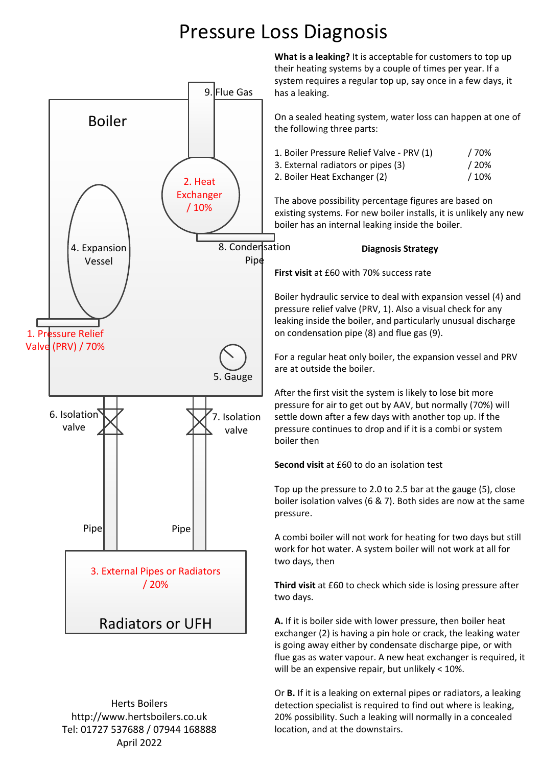### Pressure Loss Diagnosis



Herts Boilers http://www.hertsboilers.co.uk Tel: 01727 537688 / 07944 168888 April 2022

**What is a leaking?** It is acceptable for customers to top up their heating systems by a couple of times per year. If a system requires a regular top up, say once in a few days, it has a leaking.

On a sealed heating system, water loss can happen at one of the following three parts:

| 1. Boiler Pressure Relief Valve - PRV (1) | / 70% |
|-------------------------------------------|-------|
| 3. External radiators or pipes (3)        | /20%  |
| 2. Boiler Heat Exchanger (2)              | /10%  |

The above possibility percentage figures are based on existing systems. For new boiler installs, it is unlikely any new boiler has an internal leaking inside the boiler.

**Diagnosis Strategy**

**First visit** at £60 with 70% success rate

Boiler hydraulic service to deal with expansion vessel (4) and pressure relief valve (PRV, 1). Also a visual check for any leaking inside the boiler, and particularly unusual discharge on condensation pipe (8) and flue gas (9).

For a regular heat only boiler, the expansion vessel and PRV are at outside the boiler.

After the first visit the system is likely to lose bit more pressure for air to get out by AAV, but normally (70%) will settle down after a few days with another top up. If the pressure continues to drop and if it is a combi or system boiler then

**Second visit** at £60 to do an isolation test

Top up the pressure to 2.0 to 2.5 bar at the gauge (5), close boiler isolation valves (6 & 7). Both sides are now at the same pressure.

A combi boiler will not work for heating for two days but still work for hot water. A system boiler will not work at all for two days, then

**Third visit** at £60 to check which side is losing pressure after two days.

**A.** If it is boiler side with lower pressure, then boiler heat exchanger (2) is having a pin hole or crack, the leaking water is going away either by condensate discharge pipe, or with flue gas as water vapour. A new heat exchanger is required, it will be an expensive repair, but unlikely < 10%.

Or **B.** If it is a leaking on external pipes or radiators, a leaking detection specialist is required to find out where is leaking, 20% possibility. Such a leaking will normally in a concealed location, and at the downstairs.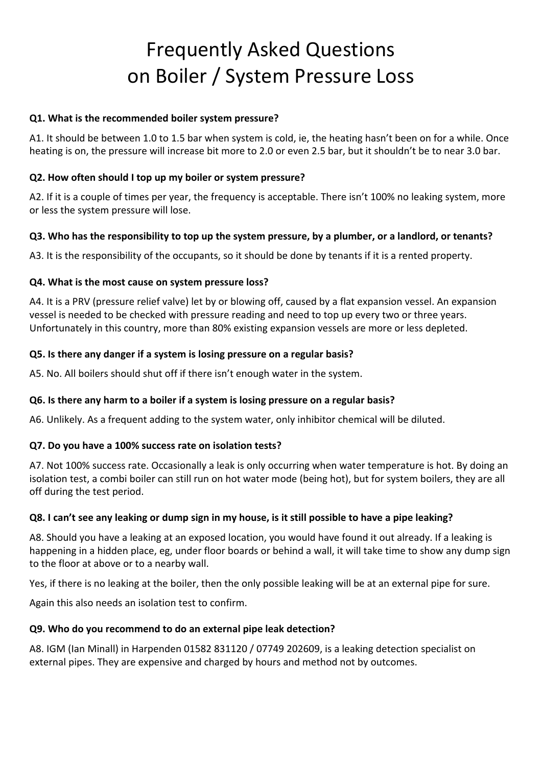# Frequently Asked Questions on Boiler / System Pressure Loss

#### **Q1. What is the recommended boiler system pressure?**

A1. It should be between 1.0 to 1.5 bar when system is cold, ie, the heating hasn't been on for a while. Once heating is on, the pressure will increase bit more to 2.0 or even 2.5 bar, but it shouldn't be to near 3.0 bar.

#### **Q2. How often should I top up my boiler or system pressure?**

A2. If it is a couple of times per year, the frequency is acceptable. There isn't 100% no leaking system, more or less the system pressure will lose.

#### **Q3. Who has the responsibility to top up the system pressure, by a plumber, or a landlord, or tenants?**

A3. It is the responsibility of the occupants, so it should be done by tenants if it is a rented property.

#### **Q4. What is the most cause on system pressure loss?**

A4. It is a PRV (pressure relief valve) let by or blowing off, caused by a flat expansion vessel. An expansion vessel is needed to be checked with pressure reading and need to top up every two or three years. Unfortunately in this country, more than 80% existing expansion vessels are more or less depleted.

#### **Q5. Is there any danger if a system is losing pressure on a regular basis?**

A5. No. All boilers should shut off if there isn't enough water in the system.

#### **Q6. Is there any harm to a boiler if a system is losing pressure on a regular basis?**

A6. Unlikely. As a frequent adding to the system water, only inhibitor chemical will be diluted.

#### **Q7. Do you have a 100% success rate on isolation tests?**

A7. Not 100% success rate. Occasionally a leak is only occurring when water temperature is hot. By doing an isolation test, a combi boiler can still run on hot water mode (being hot), but for system boilers, they are all off during the test period.

#### **Q8. I can't see any leaking or dump sign in my house, is it still possible to have a pipe leaking?**

A8. Should you have a leaking at an exposed location, you would have found it out already. If a leaking is happening in a hidden place, eg, under floor boards or behind a wall, it will take time to show any dump sign to the floor at above or to a nearby wall.

Yes, if there is no leaking at the boiler, then the only possible leaking will be at an external pipe for sure.

Again this also needs an isolation test to confirm.

#### **Q9. Who do you recommend to do an external pipe leak detection?**

A8. IGM (Ian Minall) in Harpenden 01582 831120 / 07749 202609, is a leaking detection specialist on external pipes. They are expensive and charged by hours and method not by outcomes.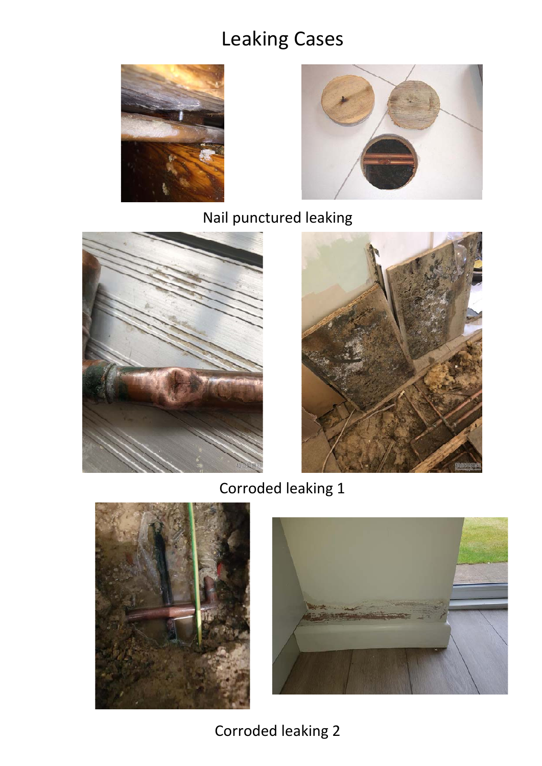## Leaking Cases





Nail punctured leaking





Corroded leaking 1





Corroded leaking 2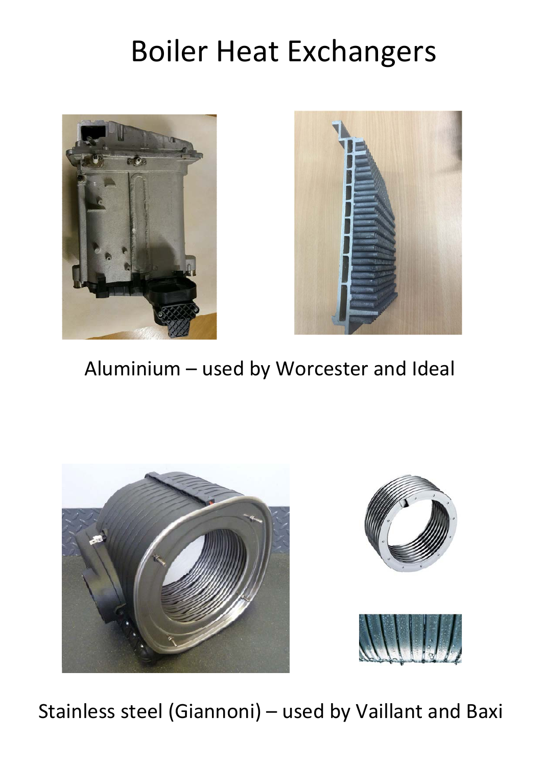# Boiler Heat Exchangers





Aluminium – used by Worcester and Ideal







Stainless steel (Giannoni) – used by Vaillant and Baxi